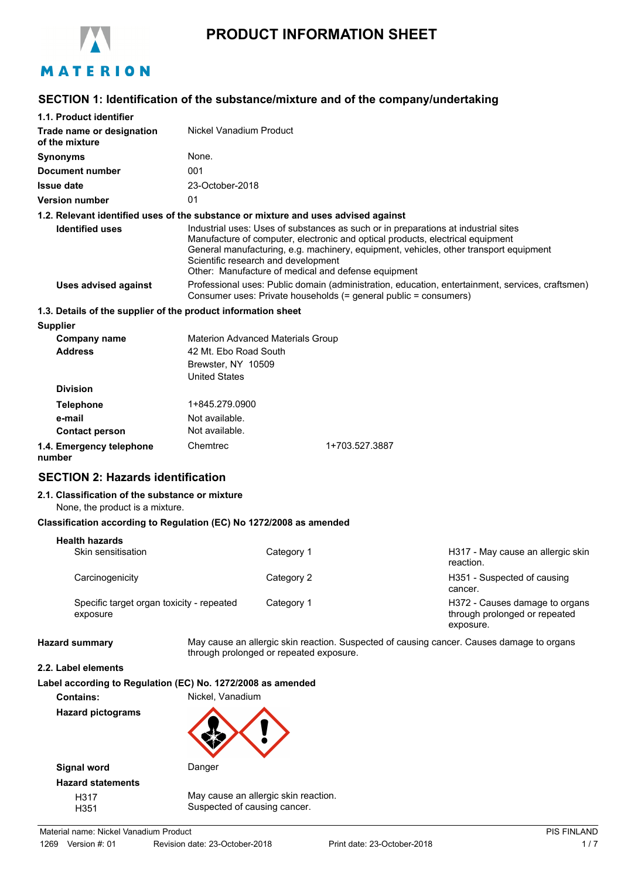

# **PRODUCT INFORMATION SHEET**

# **SECTION 1: Identification of the substance/mixture and of the company/undertaking**

| 1.1. Product identifier                                                            |                                                                                                                                                                                                                                                                                                                                                             |                                                                                                                                                                      |                |                                                                                           |
|------------------------------------------------------------------------------------|-------------------------------------------------------------------------------------------------------------------------------------------------------------------------------------------------------------------------------------------------------------------------------------------------------------------------------------------------------------|----------------------------------------------------------------------------------------------------------------------------------------------------------------------|----------------|-------------------------------------------------------------------------------------------|
| Trade name or designation<br>of the mixture                                        | Nickel Vanadium Product                                                                                                                                                                                                                                                                                                                                     |                                                                                                                                                                      |                |                                                                                           |
| <b>Synonyms</b>                                                                    | None.                                                                                                                                                                                                                                                                                                                                                       |                                                                                                                                                                      |                |                                                                                           |
| <b>Document number</b>                                                             | 001                                                                                                                                                                                                                                                                                                                                                         |                                                                                                                                                                      |                |                                                                                           |
| <b>Issue date</b>                                                                  | 23-October-2018                                                                                                                                                                                                                                                                                                                                             |                                                                                                                                                                      |                |                                                                                           |
| <b>Version number</b>                                                              | 01                                                                                                                                                                                                                                                                                                                                                          |                                                                                                                                                                      |                |                                                                                           |
| 1.2. Relevant identified uses of the substance or mixture and uses advised against |                                                                                                                                                                                                                                                                                                                                                             |                                                                                                                                                                      |                |                                                                                           |
| <b>Identified uses</b>                                                             | Industrial uses: Uses of substances as such or in preparations at industrial sites<br>Manufacture of computer, electronic and optical products, electrical equipment<br>General manufacturing, e.g. machinery, equipment, vehicles, other transport equipment<br>Scientific research and development<br>Other: Manufacture of medical and defense equipment |                                                                                                                                                                      |                |                                                                                           |
| <b>Uses advised against</b>                                                        |                                                                                                                                                                                                                                                                                                                                                             | Professional uses: Public domain (administration, education, entertainment, services, craftsmen)<br>Consumer uses: Private households (= general public = consumers) |                |                                                                                           |
| 1.3. Details of the supplier of the product information sheet                      |                                                                                                                                                                                                                                                                                                                                                             |                                                                                                                                                                      |                |                                                                                           |
| <b>Supplier</b>                                                                    |                                                                                                                                                                                                                                                                                                                                                             |                                                                                                                                                                      |                |                                                                                           |
| <b>Company name</b><br><b>Address</b>                                              | <b>Materion Advanced Materials Group</b><br>42 Mt. Ebo Road South<br>Brewster, NY 10509<br><b>United States</b>                                                                                                                                                                                                                                             |                                                                                                                                                                      |                |                                                                                           |
| <b>Division</b>                                                                    |                                                                                                                                                                                                                                                                                                                                                             |                                                                                                                                                                      |                |                                                                                           |
| <b>Telephone</b>                                                                   | 1+845.279.0900                                                                                                                                                                                                                                                                                                                                              |                                                                                                                                                                      |                |                                                                                           |
| e-mail                                                                             | Not available.                                                                                                                                                                                                                                                                                                                                              |                                                                                                                                                                      |                |                                                                                           |
| <b>Contact person</b>                                                              | Not available.                                                                                                                                                                                                                                                                                                                                              |                                                                                                                                                                      |                |                                                                                           |
| 1.4. Emergency telephone<br>number                                                 | Chemtrec                                                                                                                                                                                                                                                                                                                                                    |                                                                                                                                                                      | 1+703.527.3887 |                                                                                           |
| <b>SECTION 2: Hazards identification</b>                                           |                                                                                                                                                                                                                                                                                                                                                             |                                                                                                                                                                      |                |                                                                                           |
| 2.1. Classification of the substance or mixture<br>None, the product is a mixture. |                                                                                                                                                                                                                                                                                                                                                             |                                                                                                                                                                      |                |                                                                                           |
| Classification according to Regulation (EC) No 1272/2008 as amended                |                                                                                                                                                                                                                                                                                                                                                             |                                                                                                                                                                      |                |                                                                                           |
| <b>Health hazards</b>                                                              |                                                                                                                                                                                                                                                                                                                                                             |                                                                                                                                                                      |                |                                                                                           |
| Skin sensitisation                                                                 |                                                                                                                                                                                                                                                                                                                                                             | Category 1                                                                                                                                                           |                | H317 - May cause an allergic skin<br>reaction.                                            |
| Carcinogenicity                                                                    |                                                                                                                                                                                                                                                                                                                                                             | Category 2                                                                                                                                                           |                | H351 - Suspected of causing<br>cancer.                                                    |
| Specific target organ toxicity - repeated<br>exposure                              |                                                                                                                                                                                                                                                                                                                                                             | Category 1                                                                                                                                                           |                | H372 - Causes damage to organs<br>through prolonged or repeated<br>exposure.              |
| <b>Hazard summary</b>                                                              | through prolonged or repeated exposure.                                                                                                                                                                                                                                                                                                                     |                                                                                                                                                                      |                | May cause an allergic skin reaction. Suspected of causing cancer. Causes damage to organs |
| 2.2. Label elements                                                                |                                                                                                                                                                                                                                                                                                                                                             |                                                                                                                                                                      |                |                                                                                           |
| Label according to Regulation (EC) No. 1272/2008 as amended<br><b>Contains:</b>    | Nickel, Vanadium                                                                                                                                                                                                                                                                                                                                            |                                                                                                                                                                      |                |                                                                                           |
| <b>Hazard pictograms</b>                                                           |                                                                                                                                                                                                                                                                                                                                                             |                                                                                                                                                                      |                |                                                                                           |



**Signal word** Danger **Hazard statements**

H317 May cause an allergic skin reaction. H351 Suspected of causing cancer.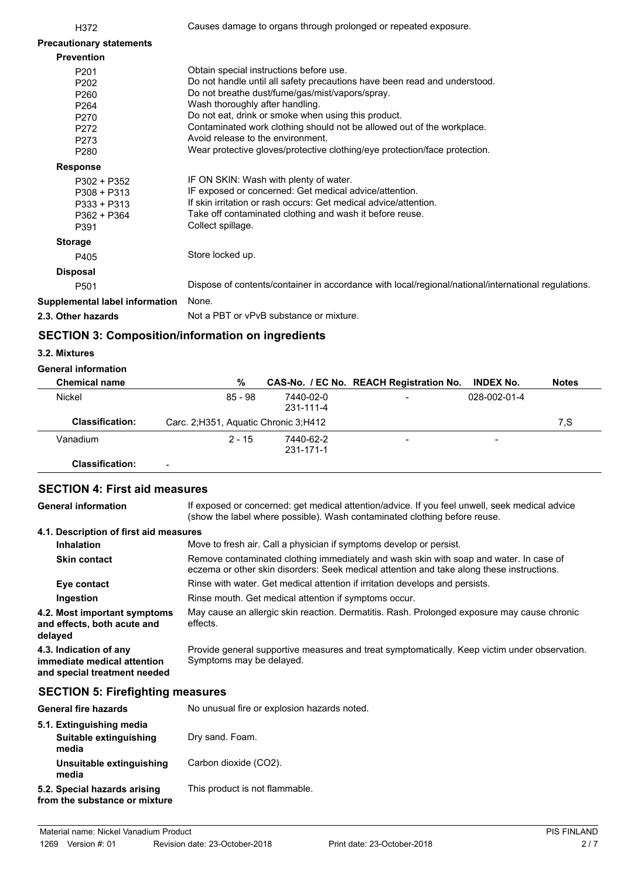| H372                            | Causes damage to organs through prolonged or repeated exposure.                                     |
|---------------------------------|-----------------------------------------------------------------------------------------------------|
| <b>Precautionary statements</b> |                                                                                                     |
| <b>Prevention</b>               |                                                                                                     |
| P201                            | Obtain special instructions before use.                                                             |
| P <sub>202</sub>                | Do not handle until all safety precautions have been read and understood.                           |
| P260                            | Do not breathe dust/fume/gas/mist/vapors/spray.                                                     |
| P <sub>264</sub>                | Wash thoroughly after handling.                                                                     |
| P270                            | Do not eat, drink or smoke when using this product.                                                 |
| P272                            | Contaminated work clothing should not be allowed out of the workplace.                              |
| P273                            | Avoid release to the environment.                                                                   |
| P280                            | Wear protective gloves/protective clothing/eye protection/face protection.                          |
| <b>Response</b>                 |                                                                                                     |
| P302 + P352                     | IF ON SKIN: Wash with plenty of water.                                                              |
| $P308 + P313$                   | IF exposed or concerned: Get medical advice/attention.                                              |
| $P333 + P313$                   | If skin irritation or rash occurs: Get medical advice/attention.                                    |
| P362 + P364                     | Take off contaminated clothing and wash it before reuse.                                            |
| P391                            | Collect spillage.                                                                                   |
| <b>Storage</b>                  |                                                                                                     |
| P405                            | Store locked up.                                                                                    |
| <b>Disposal</b>                 |                                                                                                     |
| P <sub>501</sub>                | Dispose of contents/container in accordance with local/regional/national/international regulations. |
| Supplemental label information  | None.                                                                                               |
| 2.3. Other hazards              | Not a PBT or vPvB substance or mixture.                                                             |
|                                 |                                                                                                     |

# **SECTION 3: Composition/information on ingredients**

#### **3.2. Mixtures**

### **General information**

| <b>Chemical name</b>   | %                                      |                        | CAS-No. / EC No. REACH Registration No. | <b>INDEX No.</b>         | <b>Notes</b> |
|------------------------|----------------------------------------|------------------------|-----------------------------------------|--------------------------|--------------|
| Nickel                 | 85 - 98                                | 7440-02-0<br>231-111-4 | -                                       | 028-002-01-4             |              |
| <b>Classification:</b> | Carc. 2; H351, Aquatic Chronic 3; H412 |                        |                                         |                          | 7.S          |
| Vanadium               | $2 - 15$                               | 7440-62-2<br>231-171-1 | -                                       | $\overline{\phantom{0}}$ |              |
| Classification:        |                                        |                        |                                         |                          |              |

# **SECTION 4: First aid measures**

If exposed or concerned: get medical attention/advice. If you feel unwell, seek medical advice (show the label where possible). Wash contaminated clothing before reuse. **General information 4.1. Description of first aid measures Inhalation** Move to fresh air. Call a physician if symptoms develop or persist. Remove contaminated clothing immediately and wash skin with soap and water. In case of eczema or other skin disorders: Seek medical attention and take along these instructions. **Skin contact Eye contact** Rinse with water. Get medical attention if irritation develops and persists. **Ingestion** Rinse mouth. Get medical attention if symptoms occur. May cause an allergic skin reaction. Dermatitis. Rash. Prolonged exposure may cause chronic effects. **4.2. Most important symptoms and effects, both acute and delayed** Provide general supportive measures and treat symptomatically. Keep victim under observation. Symptoms may be delayed. **4.3. Indication of any immediate medical attention and special treatment needed**

# **SECTION 5: Firefighting measures**

| <b>General fire hazards</b>                                   | No unusual fire or explosion hazards noted. |
|---------------------------------------------------------------|---------------------------------------------|
| 5.1. Extinguishing media<br>Suitable extinguishing            | Dry sand. Foam.                             |
| media<br>Unsuitable extinguishing<br>media                    | Carbon dioxide (CO2).                       |
| 5.2. Special hazards arising<br>from the substance or mixture | This product is not flammable.              |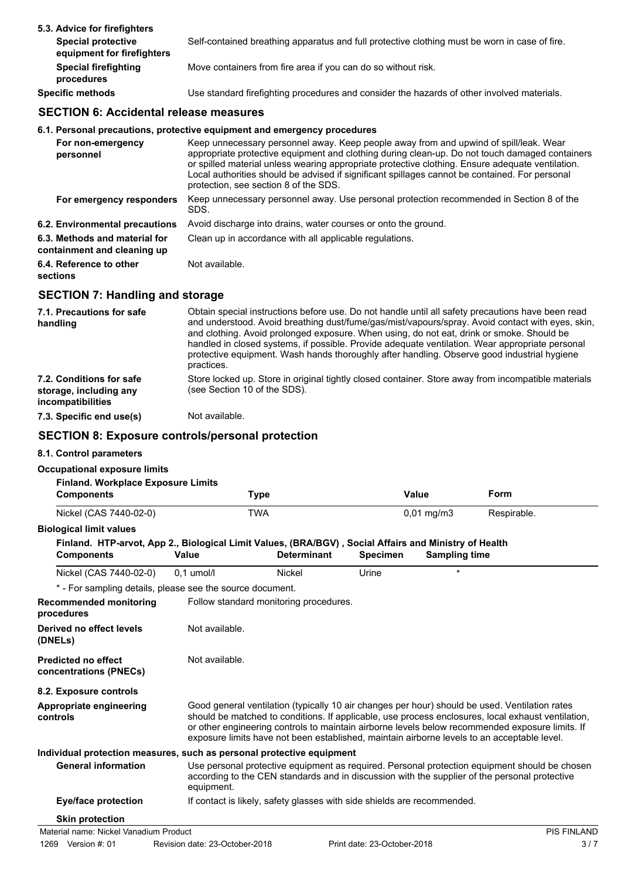| 5.3. Advice for firefighters                            |                                                                                               |
|---------------------------------------------------------|-----------------------------------------------------------------------------------------------|
| <b>Special protective</b><br>equipment for firefighters | Self-contained breathing apparatus and full protective clothing must be worn in case of fire. |
| <b>Special firefighting</b><br>procedures               | Move containers from fire area if you can do so without risk.                                 |
| <b>Specific methods</b>                                 | Use standard firefighting procedures and consider the hazards of other involved materials.    |

# **SECTION 6: Accidental release measures**

# **6.1. Personal precautions, protective equipment and emergency procedures**

| For non-emergency<br>personnel                               | Keep unnecessary personnel away. Keep people away from and upwind of spill/leak. Wear<br>appropriate protective equipment and clothing during clean-up. Do not touch damaged containers<br>or spilled material unless wearing appropriate protective clothing. Ensure adequate ventilation.<br>Local authorities should be advised if significant spillages cannot be contained. For personal<br>protection, see section 8 of the SDS. |
|--------------------------------------------------------------|----------------------------------------------------------------------------------------------------------------------------------------------------------------------------------------------------------------------------------------------------------------------------------------------------------------------------------------------------------------------------------------------------------------------------------------|
| For emergency responders                                     | Keep unnecessary personnel away. Use personal protection recommended in Section 8 of the<br>SDS.                                                                                                                                                                                                                                                                                                                                       |
| 6.2. Environmental precautions                               | Avoid discharge into drains, water courses or onto the ground.                                                                                                                                                                                                                                                                                                                                                                         |
| 6.3. Methods and material for<br>containment and cleaning up | Clean up in accordance with all applicable regulations.                                                                                                                                                                                                                                                                                                                                                                                |
| 6.4. Reference to other<br>sections                          | Not available.                                                                                                                                                                                                                                                                                                                                                                                                                         |

# **SECTION 7: Handling and storage**

| 7.1. Precautions for safe<br>handling                                   | Obtain special instructions before use. Do not handle until all safety precautions have been read<br>and understood. Avoid breathing dust/fume/gas/mist/vapours/spray. Avoid contact with eyes, skin,<br>and clothing. Avoid prolonged exposure. When using, do not eat, drink or smoke. Should be<br>handled in closed systems, if possible. Provide adequate ventilation. Wear appropriate personal<br>protective equipment. Wash hands thoroughly after handling. Observe good industrial hygiene<br>practices. |
|-------------------------------------------------------------------------|--------------------------------------------------------------------------------------------------------------------------------------------------------------------------------------------------------------------------------------------------------------------------------------------------------------------------------------------------------------------------------------------------------------------------------------------------------------------------------------------------------------------|
| 7.2. Conditions for safe<br>storage, including any<br>incompatibilities | Store locked up. Store in original tightly closed container. Store away from incompatible materials<br>(see Section 10 of the SDS).                                                                                                                                                                                                                                                                                                                                                                                |
| 7.3. Specific end use(s)                                                | Not available.                                                                                                                                                                                                                                                                                                                                                                                                                                                                                                     |

# **SECTION 8: Exposure controls/personal protection**

# **8.1. Control parameters**

#### **Occupational exposure limits**

| <b>Occupational exposure limits</b>                            |                                                                                                                       |                    |                             |                      |                                                                                                                                                                                                                                                                                                                                                                                                        |
|----------------------------------------------------------------|-----------------------------------------------------------------------------------------------------------------------|--------------------|-----------------------------|----------------------|--------------------------------------------------------------------------------------------------------------------------------------------------------------------------------------------------------------------------------------------------------------------------------------------------------------------------------------------------------------------------------------------------------|
| <b>Finland. Workplace Exposure Limits</b><br><b>Components</b> | <b>Type</b>                                                                                                           |                    |                             | Value                | Form                                                                                                                                                                                                                                                                                                                                                                                                   |
| Nickel (CAS 7440-02-0)                                         | <b>TWA</b>                                                                                                            |                    |                             | $0,01$ mg/m $3$      | Respirable.                                                                                                                                                                                                                                                                                                                                                                                            |
| <b>Biological limit values</b>                                 |                                                                                                                       |                    |                             |                      |                                                                                                                                                                                                                                                                                                                                                                                                        |
| <b>Components</b>                                              | Finland. HTP-arvot, App 2., Biological Limit Values, (BRA/BGV), Social Affairs and Ministry of Health<br><b>Value</b> | <b>Determinant</b> | <b>Specimen</b>             | <b>Sampling time</b> |                                                                                                                                                                                                                                                                                                                                                                                                        |
| Nickel (CAS 7440-02-0)                                         | $0.1$ umol/l                                                                                                          | Nickel             | Urine                       |                      |                                                                                                                                                                                                                                                                                                                                                                                                        |
|                                                                | * - For sampling details, please see the source document.                                                             |                    |                             |                      |                                                                                                                                                                                                                                                                                                                                                                                                        |
| <b>Recommended monitoring</b><br>procedures                    | Follow standard monitoring procedures.                                                                                |                    |                             |                      |                                                                                                                                                                                                                                                                                                                                                                                                        |
| Derived no effect levels<br>(DNELs)                            | Not available.                                                                                                        |                    |                             |                      |                                                                                                                                                                                                                                                                                                                                                                                                        |
| <b>Predicted no effect</b><br>concentrations (PNECs)           | Not available.                                                                                                        |                    |                             |                      |                                                                                                                                                                                                                                                                                                                                                                                                        |
| 8.2. Exposure controls                                         |                                                                                                                       |                    |                             |                      |                                                                                                                                                                                                                                                                                                                                                                                                        |
| <b>Appropriate engineering</b><br>controls                     |                                                                                                                       |                    |                             |                      | Good general ventilation (typically 10 air changes per hour) should be used. Ventilation rates<br>should be matched to conditions. If applicable, use process enclosures, local exhaust ventilation,<br>or other engineering controls to maintain airborne levels below recommended exposure limits. If<br>exposure limits have not been established, maintain airborne levels to an acceptable level. |
|                                                                | Individual protection measures, such as personal protective equipment                                                 |                    |                             |                      |                                                                                                                                                                                                                                                                                                                                                                                                        |
| <b>General information</b>                                     | equipment.                                                                                                            |                    |                             |                      | Use personal protective equipment as required. Personal protection equipment should be chosen<br>according to the CEN standards and in discussion with the supplier of the personal protective                                                                                                                                                                                                         |
| <b>Eye/face protection</b>                                     | If contact is likely, safety glasses with side shields are recommended.                                               |                    |                             |                      |                                                                                                                                                                                                                                                                                                                                                                                                        |
| <b>Skin protection</b>                                         |                                                                                                                       |                    |                             |                      |                                                                                                                                                                                                                                                                                                                                                                                                        |
| Material name: Nickel Vanadium Product                         |                                                                                                                       |                    |                             |                      | <b>PIS FINLAND</b>                                                                                                                                                                                                                                                                                                                                                                                     |
| 1269 Version #: 01                                             | Revision date: 23-October-2018                                                                                        |                    | Print date: 23-October-2018 |                      | 3/7                                                                                                                                                                                                                                                                                                                                                                                                    |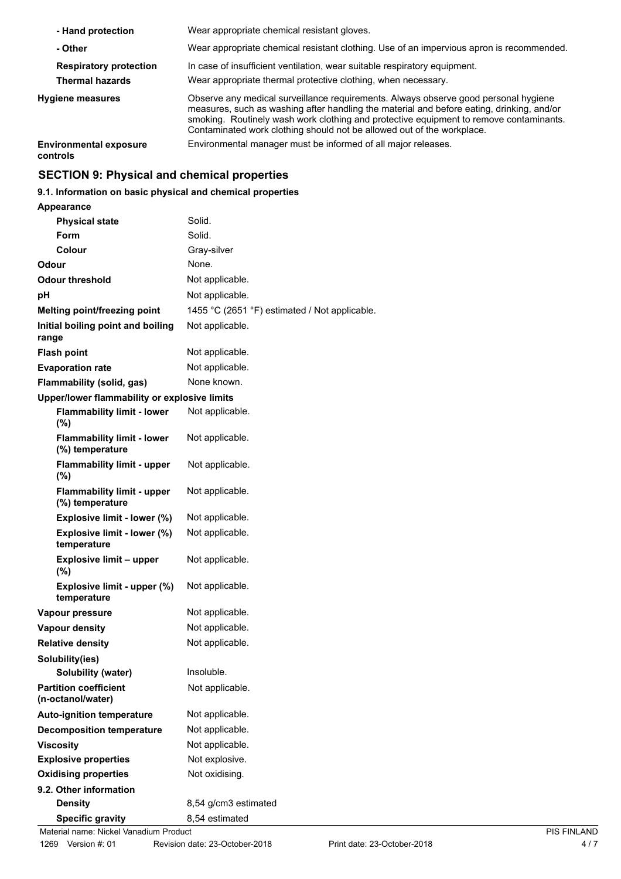| - Hand protection                         | Wear appropriate chemical resistant gloves.                                                                                                                                                                                                                                                                                                          |
|-------------------------------------------|------------------------------------------------------------------------------------------------------------------------------------------------------------------------------------------------------------------------------------------------------------------------------------------------------------------------------------------------------|
| - Other                                   | Wear appropriate chemical resistant clothing. Use of an impervious apron is recommended.                                                                                                                                                                                                                                                             |
| <b>Respiratory protection</b>             | In case of insufficient ventilation, wear suitable respiratory equipment.                                                                                                                                                                                                                                                                            |
| <b>Thermal hazards</b>                    | Wear appropriate thermal protective clothing, when necessary.                                                                                                                                                                                                                                                                                        |
| Hygiene measures                          | Observe any medical surveillance requirements. Always observe good personal hygiene<br>measures, such as washing after handling the material and before eating, drinking, and/or<br>smoking. Routinely wash work clothing and protective equipment to remove contaminants.<br>Contaminated work clothing should not be allowed out of the workplace. |
| <b>Environmental exposure</b><br>controls | Environmental manager must be informed of all major releases.                                                                                                                                                                                                                                                                                        |

# **SECTION 9: Physical and chemical properties**

# **9.1. Information on basic physical and chemical properties**

### **Appearance**

| <b>Physical state</b>                                | Solid.                                        |                    |
|------------------------------------------------------|-----------------------------------------------|--------------------|
| Form                                                 | Solid.                                        |                    |
| Colour                                               | Gray-silver                                   |                    |
| Odour                                                | None.                                         |                    |
| <b>Odour threshold</b>                               | Not applicable.                               |                    |
| рH                                                   | Not applicable.                               |                    |
| Melting point/freezing point                         | 1455 °C (2651 °F) estimated / Not applicable. |                    |
| Initial boiling point and boiling<br>range           | Not applicable.                               |                    |
| <b>Flash point</b>                                   | Not applicable.                               |                    |
| <b>Evaporation rate</b>                              | Not applicable.                               |                    |
| Flammability (solid, gas)                            | None known.                                   |                    |
| Upper/lower flammability or explosive limits         |                                               |                    |
| <b>Flammability limit - lower</b><br>(%)             | Not applicable.                               |                    |
| <b>Flammability limit - lower</b><br>(%) temperature | Not applicable.                               |                    |
| <b>Flammability limit - upper</b><br>(%)             | Not applicable.                               |                    |
| <b>Flammability limit - upper</b><br>(%) temperature | Not applicable.                               |                    |
| Explosive limit - lower (%)                          | Not applicable.                               |                    |
| Explosive limit - lower (%)<br>temperature           | Not applicable.                               |                    |
| <b>Explosive limit - upper</b><br>(%)                | Not applicable.                               |                    |
| Explosive limit - upper (%)<br>temperature           | Not applicable.                               |                    |
| Vapour pressure                                      | Not applicable.                               |                    |
| <b>Vapour density</b>                                | Not applicable.                               |                    |
| <b>Relative density</b>                              | Not applicable.                               |                    |
| Solubility(ies)                                      |                                               |                    |
| Solubility (water)                                   | Insoluble.                                    |                    |
| <b>Partition coefficient</b><br>(n-octanol/water)    | Not applicable.                               |                    |
| <b>Auto-ignition temperature</b>                     | Not applicable.                               |                    |
| <b>Decomposition temperature</b>                     | Not applicable.                               |                    |
| <b>Viscosity</b>                                     | Not applicable.                               |                    |
| <b>Explosive properties</b>                          | Not explosive.                                |                    |
| <b>Oxidising properties</b>                          | Not oxidising.                                |                    |
| 9.2. Other information                               |                                               |                    |
| <b>Density</b>                                       | 8,54 g/cm3 estimated                          |                    |
| <b>Specific gravity</b>                              | 8,54 estimated                                |                    |
| Material name: Nickel Vanadium Product               |                                               | <b>PIS FINLAND</b> |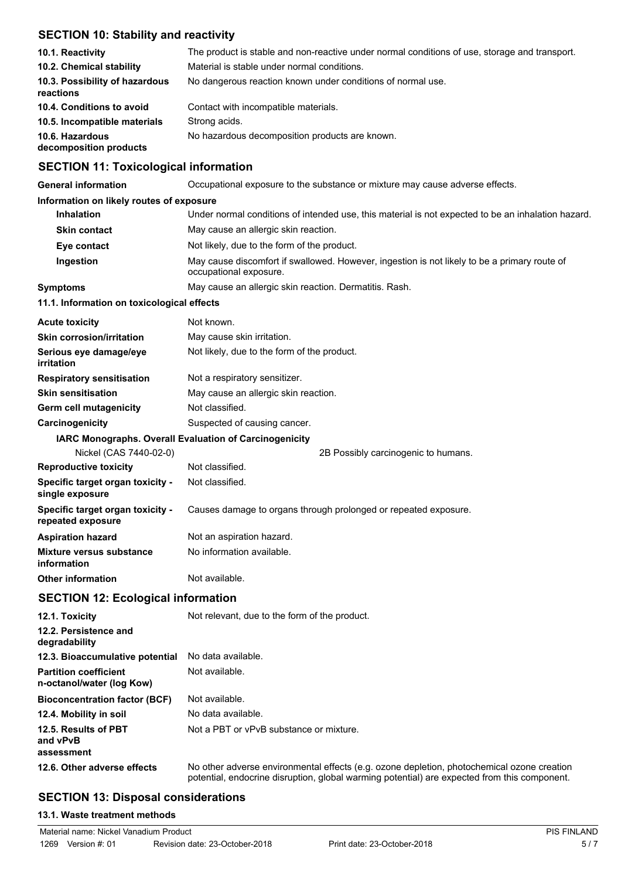# **SECTION 10: Stability and reactivity**

| 10.1. Reactivity                            | The product is stable and non-reactive under normal conditions of use, storage and transport. |
|---------------------------------------------|-----------------------------------------------------------------------------------------------|
| 10.2. Chemical stability                    | Material is stable under normal conditions.                                                   |
| 10.3. Possibility of hazardous<br>reactions | No dangerous reaction known under conditions of normal use.                                   |
| 10.4. Conditions to avoid                   | Contact with incompatible materials.                                                          |
| 10.5. Incompatible materials                | Strong acids.                                                                                 |
| 10.6. Hazardous<br>decomposition products   | No hazardous decomposition products are known.                                                |

# **SECTION 11: Toxicological information**

| <b>General information</b>                                | Occupational exposure to the substance or mixture may cause adverse effects.                                           |  |  |
|-----------------------------------------------------------|------------------------------------------------------------------------------------------------------------------------|--|--|
| Information on likely routes of exposure                  |                                                                                                                        |  |  |
| <b>Inhalation</b>                                         | Under normal conditions of intended use, this material is not expected to be an inhalation hazard.                     |  |  |
| <b>Skin contact</b>                                       | May cause an allergic skin reaction.                                                                                   |  |  |
| Eye contact                                               | Not likely, due to the form of the product.                                                                            |  |  |
| Ingestion                                                 | May cause discomfort if swallowed. However, ingestion is not likely to be a primary route of<br>occupational exposure. |  |  |
| <b>Symptoms</b>                                           | May cause an allergic skin reaction. Dermatitis. Rash.                                                                 |  |  |
| 11.1. Information on toxicological effects                |                                                                                                                        |  |  |
| <b>Acute toxicity</b>                                     | Not known.                                                                                                             |  |  |
| <b>Skin corrosion/irritation</b>                          | May cause skin irritation.                                                                                             |  |  |
| Serious eye damage/eye<br>irritation                      | Not likely, due to the form of the product.                                                                            |  |  |
| <b>Respiratory sensitisation</b>                          | Not a respiratory sensitizer.                                                                                          |  |  |
| <b>Skin sensitisation</b>                                 | May cause an allergic skin reaction.                                                                                   |  |  |
| Germ cell mutagenicity                                    | Not classified.                                                                                                        |  |  |
| Carcinogenicity                                           | Suspected of causing cancer.                                                                                           |  |  |
|                                                           | IARC Monographs. Overall Evaluation of Carcinogenicity                                                                 |  |  |
| Nickel (CAS 7440-02-0)                                    | 2B Possibly carcinogenic to humans.                                                                                    |  |  |
| <b>Reproductive toxicity</b>                              | Not classified.                                                                                                        |  |  |
| Specific target organ toxicity -<br>single exposure       | Not classified.                                                                                                        |  |  |
| Specific target organ toxicity -<br>repeated exposure     | Causes damage to organs through prolonged or repeated exposure.                                                        |  |  |
| <b>Aspiration hazard</b>                                  | Not an aspiration hazard.                                                                                              |  |  |
| <b>Mixture versus substance</b><br>information            | No information available.                                                                                              |  |  |
| <b>Other information</b>                                  | Not available.                                                                                                         |  |  |
| <b>SECTION 12: Ecological information</b>                 |                                                                                                                        |  |  |
| 12.1. Toxicity                                            | Not relevant, due to the form of the product.                                                                          |  |  |
| 12.2. Persistence and<br>degradability                    |                                                                                                                        |  |  |
| 12.3. Bioaccumulative potential                           | No data available.                                                                                                     |  |  |
| <b>Partition coefficient</b><br>n-octanol/water (log Kow) | Not available.                                                                                                         |  |  |
| <b>Bioconcentration factor (BCF)</b>                      | Not available.                                                                                                         |  |  |
| 12.4. Mobility in soil                                    | No data available.                                                                                                     |  |  |
| 12.5. Results of PBT<br>and vPvB<br>assessment            | Not a PBT or vPvB substance or mixture.                                                                                |  |  |
|                                                           |                                                                                                                        |  |  |

#### **12.6. Other adverse effects** No other adverse environmental effects (e.g. ozone depletion, photochemical ozone creation potential, endocrine disruption, global warming potential) are expected from this component.

# **SECTION 13: Disposal considerations**

# **13.1. Waste treatment methods**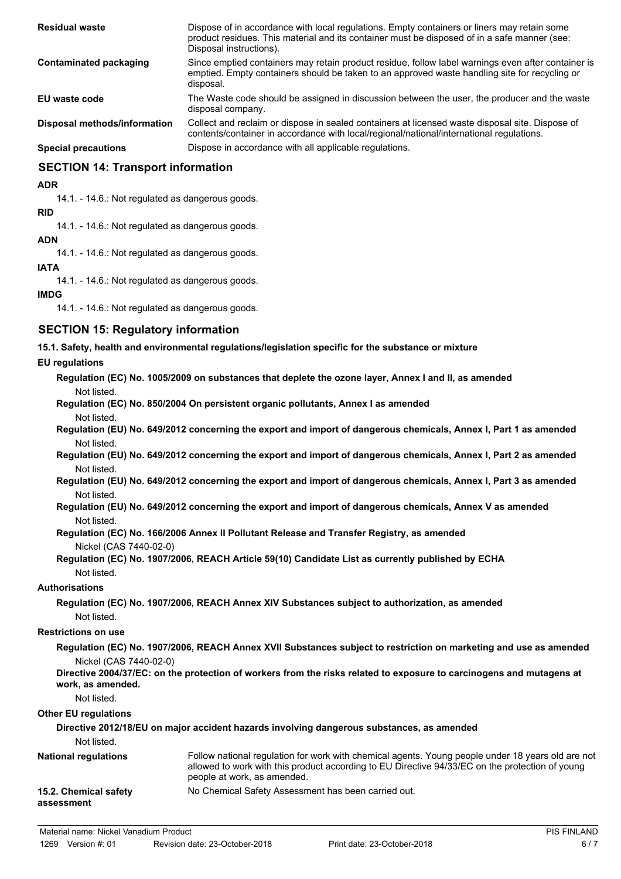| <b>Residual waste</b>         | Dispose of in accordance with local regulations. Empty containers or liners may retain some<br>product residues. This material and its container must be disposed of in a safe manner (see:<br>Disposal instructions). |
|-------------------------------|------------------------------------------------------------------------------------------------------------------------------------------------------------------------------------------------------------------------|
| <b>Contaminated packaging</b> | Since emptied containers may retain product residue, follow label warnings even after container is<br>emptied. Empty containers should be taken to an approved waste handling site for recycling or<br>disposal.       |
| EU waste code                 | The Waste code should be assigned in discussion between the user, the producer and the waste<br>disposal company.                                                                                                      |
| Disposal methods/information  | Collect and reclaim or dispose in sealed containers at licensed waste disposal site. Dispose of<br>contents/container in accordance with local/regional/national/international regulations.                            |
| <b>Special precautions</b>    | Dispose in accordance with all applicable regulations.                                                                                                                                                                 |

# **SECTION 14: Transport information**

### **ADR**

14.1. - 14.6.: Not regulated as dangerous goods.

**RID** 14.1. - 14.6.: Not regulated as dangerous goods.

## **ADN**

14.1. - 14.6.: Not regulated as dangerous goods.

# **IATA**

14.1. - 14.6.: Not regulated as dangerous goods.

## **IMDG**

14.1. - 14.6.: Not regulated as dangerous goods.

# **SECTION 15: Regulatory information**

**15.1. Safety, health and environmental regulations/legislation specific for the substance or mixture**

### **EU regulations**

**Regulation (EC) No. 1005/2009 on substances that deplete the ozone layer, Annex I and II, as amended** Not listed.

**Regulation (EC) No. 850/2004 On persistent organic pollutants, Annex I as amended**

Not listed.

**Regulation (EU) No. 649/2012 concerning the export and import of dangerous chemicals, Annex I, Part 1 as amended** Not listed.

**Regulation (EU) No. 649/2012 concerning the export and import of dangerous chemicals, Annex I, Part 2 as amended** Not listed.

**Regulation (EU) No. 649/2012 concerning the export and import of dangerous chemicals, Annex I, Part 3 as amended** Not listed.

**Regulation (EU) No. 649/2012 concerning the export and import of dangerous chemicals, Annex V as amended** Not listed.

**Regulation (EC) No. 166/2006 Annex II Pollutant Release and Transfer Registry, as amended**

## Nickel (CAS 7440-02-0)

**Regulation (EC) No. 1907/2006, REACH Article 59(10) Candidate List as currently published by ECHA** Not listed.

## **Authorisations**

**Regulation (EC) No. 1907/2006, REACH Annex XIV Substances subject to authorization, as amended** Not listed.

## **Restrictions on use**

**Regulation (EC) No. 1907/2006, REACH Annex XVII Substances subject to restriction on marketing and use as amended** Nickel (CAS 7440-02-0)

**Directive 2004/37/EC: on the protection of workers from the risks related to exposure to carcinogens and mutagens at work, as amended.**

Not listed.

## **Other EU regulations**

**Directive 2012/18/EU on major accident hazards involving dangerous substances, as amended**

Not listed.

| <b>National regulations</b>         | Follow national regulation for work with chemical agents. Young people under 18 years old are not<br>allowed to work with this product according to EU Directive 94/33/EC on the protection of young<br>people at work, as amended. |
|-------------------------------------|-------------------------------------------------------------------------------------------------------------------------------------------------------------------------------------------------------------------------------------|
| 15.2. Chemical safety<br>assessment | No Chemical Safety Assessment has been carried out.                                                                                                                                                                                 |